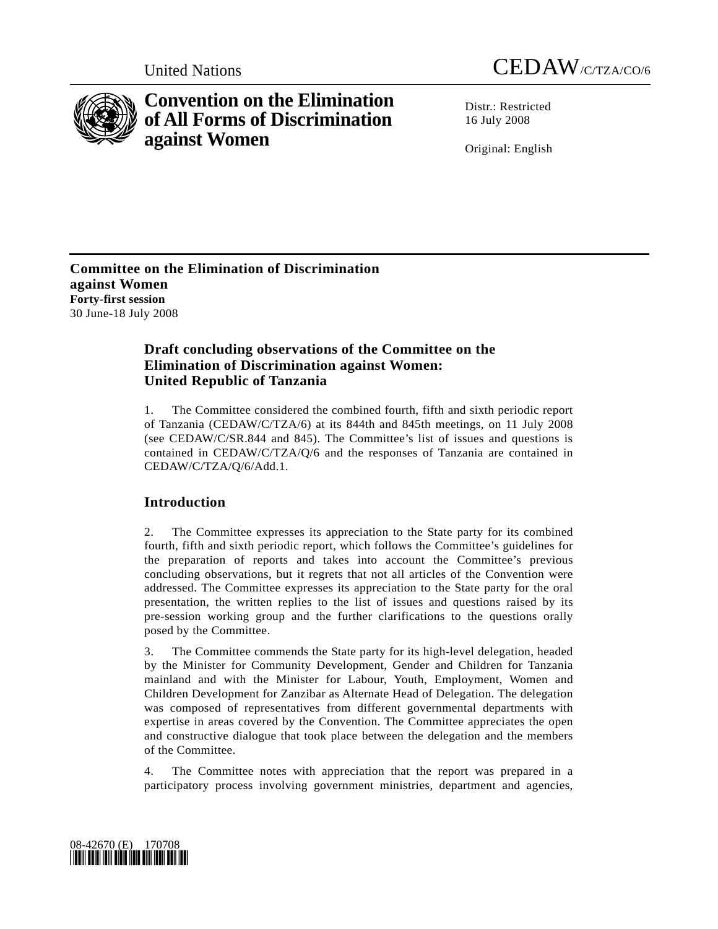



# **Convention on the Elimination of All Forms of Discrimination against Women**

Distr · Restricted 16 July 2008

Original: English

**Committee on the Elimination of Discrimination against Women Forty-first session**  30 June-18 July 2008

# **Draft concluding observations of the Committee on the Elimination of Discrimination against Women: United Republic of Tanzania**

1. The Committee considered the combined fourth, fifth and sixth periodic report of Tanzania (CEDAW/C/TZA/6) at its 844th and 845th meetings, on 11 July 2008 (see CEDAW/C/SR.844 and 845). The Committee's list of issues and questions is contained in CEDAW/C/TZA/Q/6 and the responses of Tanzania are contained in CEDAW/C/TZA/Q/6/Add.1.

# **Introduction**

2. The Committee expresses its appreciation to the State party for its combined fourth, fifth and sixth periodic report, which follows the Committee's guidelines for the preparation of reports and takes into account the Committee's previous concluding observations, but it regrets that not all articles of the Convention were addressed. The Committee expresses its appreciation to the State party for the oral presentation, the written replies to the list of issues and questions raised by its pre-session working group and the further clarifications to the questions orally posed by the Committee.

3. The Committee commends the State party for its high-level delegation, headed by the Minister for Community Development, Gender and Children for Tanzania mainland and with the Minister for Labour, Youth, Employment, Women and Children Development for Zanzibar as Alternate Head of Delegation. The delegation was composed of representatives from different governmental departments with expertise in areas covered by the Convention. The Committee appreciates the open and constructive dialogue that took place between the delegation and the members of the Committee.

4. The Committee notes with appreciation that the report was prepared in a participatory process involving government ministries, department and agencies,

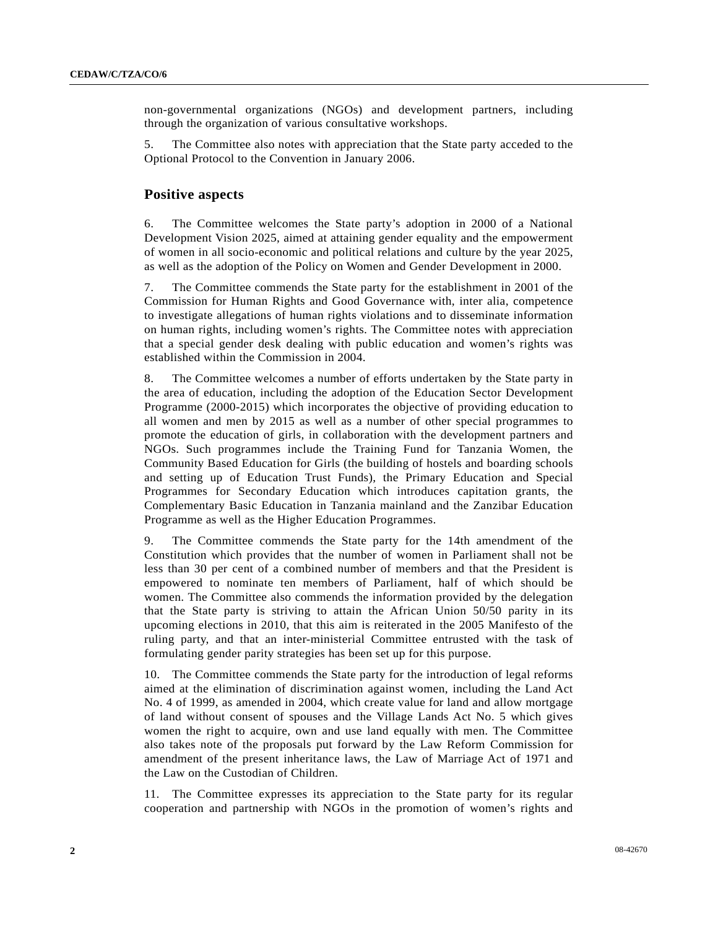non-governmental organizations (NGOs) and development partners, including through the organization of various consultative workshops.

5. The Committee also notes with appreciation that the State party acceded to the Optional Protocol to the Convention in January 2006.

#### **Positive aspects**

6. The Committee welcomes the State party's adoption in 2000 of a National Development Vision 2025, aimed at attaining gender equality and the empowerment of women in all socio-economic and political relations and culture by the year 2025, as well as the adoption of the Policy on Women and Gender Development in 2000.

7. The Committee commends the State party for the establishment in 2001 of the Commission for Human Rights and Good Governance with, inter alia, competence to investigate allegations of human rights violations and to disseminate information on human rights, including women's rights. The Committee notes with appreciation that a special gender desk dealing with public education and women's rights was established within the Commission in 2004.

8. The Committee welcomes a number of efforts undertaken by the State party in the area of education, including the adoption of the Education Sector Development Programme (2000-2015) which incorporates the objective of providing education to all women and men by 2015 as well as a number of other special programmes to promote the education of girls, in collaboration with the development partners and NGOs. Such programmes include the Training Fund for Tanzania Women, the Community Based Education for Girls (the building of hostels and boarding schools and setting up of Education Trust Funds), the Primary Education and Special Programmes for Secondary Education which introduces capitation grants, the Complementary Basic Education in Tanzania mainland and the Zanzibar Education Programme as well as the Higher Education Programmes.

9. The Committee commends the State party for the 14th amendment of the Constitution which provides that the number of women in Parliament shall not be less than 30 per cent of a combined number of members and that the President is empowered to nominate ten members of Parliament, half of which should be women. The Committee also commends the information provided by the delegation that the State party is striving to attain the African Union 50/50 parity in its upcoming elections in 2010, that this aim is reiterated in the 2005 Manifesto of the ruling party, and that an inter-ministerial Committee entrusted with the task of formulating gender parity strategies has been set up for this purpose.

10. The Committee commends the State party for the introduction of legal reforms aimed at the elimination of discrimination against women, including the Land Act No. 4 of 1999, as amended in 2004, which create value for land and allow mortgage of land without consent of spouses and the Village Lands Act No. 5 which gives women the right to acquire, own and use land equally with men. The Committee also takes note of the proposals put forward by the Law Reform Commission for amendment of the present inheritance laws, the Law of Marriage Act of 1971 and the Law on the Custodian of Children.

11. The Committee expresses its appreciation to the State party for its regular cooperation and partnership with NGOs in the promotion of women's rights and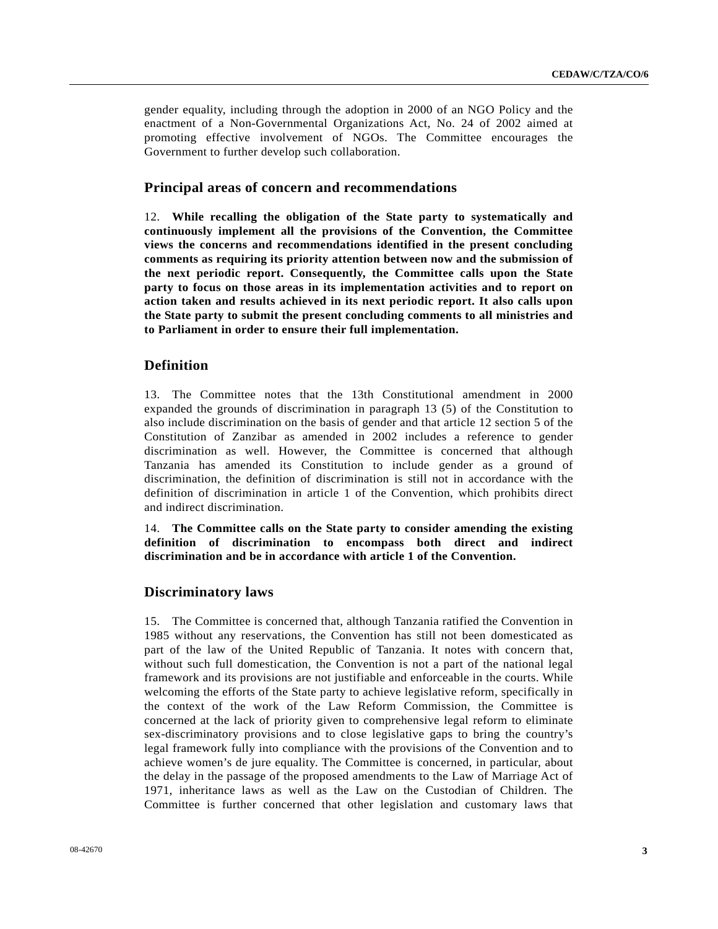gender equality, including through the adoption in 2000 of an NGO Policy and the enactment of a Non-Governmental Organizations Act, No. 24 of 2002 aimed at promoting effective involvement of NGOs. The Committee encourages the Government to further develop such collaboration.

### **Principal areas of concern and recommendations**

12. **While recalling the obligation of the State party to systematically and continuously implement all the provisions of the Convention, the Committee views the concerns and recommendations identified in the present concluding comments as requiring its priority attention between now and the submission of the next periodic report. Consequently, the Committee calls upon the State party to focus on those areas in its implementation activities and to report on action taken and results achieved in its next periodic report. It also calls upon the State party to submit the present concluding comments to all ministries and to Parliament in order to ensure their full implementation.**

### **Definition**

13. The Committee notes that the 13th Constitutional amendment in 2000 expanded the grounds of discrimination in paragraph 13 (5) of the Constitution to also include discrimination on the basis of gender and that article 12 section 5 of the Constitution of Zanzibar as amended in 2002 includes a reference to gender discrimination as well. However, the Committee is concerned that although Tanzania has amended its Constitution to include gender as a ground of discrimination, the definition of discrimination is still not in accordance with the definition of discrimination in article 1 of the Convention, which prohibits direct and indirect discrimination.

14. **The Committee calls on the State party to consider amending the existing definition of discrimination to encompass both direct and indirect discrimination and be in accordance with article 1 of the Convention.**

### **Discriminatory laws**

15. The Committee is concerned that, although Tanzania ratified the Convention in 1985 without any reservations, the Convention has still not been domesticated as part of the law of the United Republic of Tanzania. It notes with concern that, without such full domestication, the Convention is not a part of the national legal framework and its provisions are not justifiable and enforceable in the courts. While welcoming the efforts of the State party to achieve legislative reform, specifically in the context of the work of the Law Reform Commission, the Committee is concerned at the lack of priority given to comprehensive legal reform to eliminate sex-discriminatory provisions and to close legislative gaps to bring the country's legal framework fully into compliance with the provisions of the Convention and to achieve women's de jure equality. The Committee is concerned, in particular, about the delay in the passage of the proposed amendments to the Law of Marriage Act of 1971, inheritance laws as well as the Law on the Custodian of Children. The Committee is further concerned that other legislation and customary laws that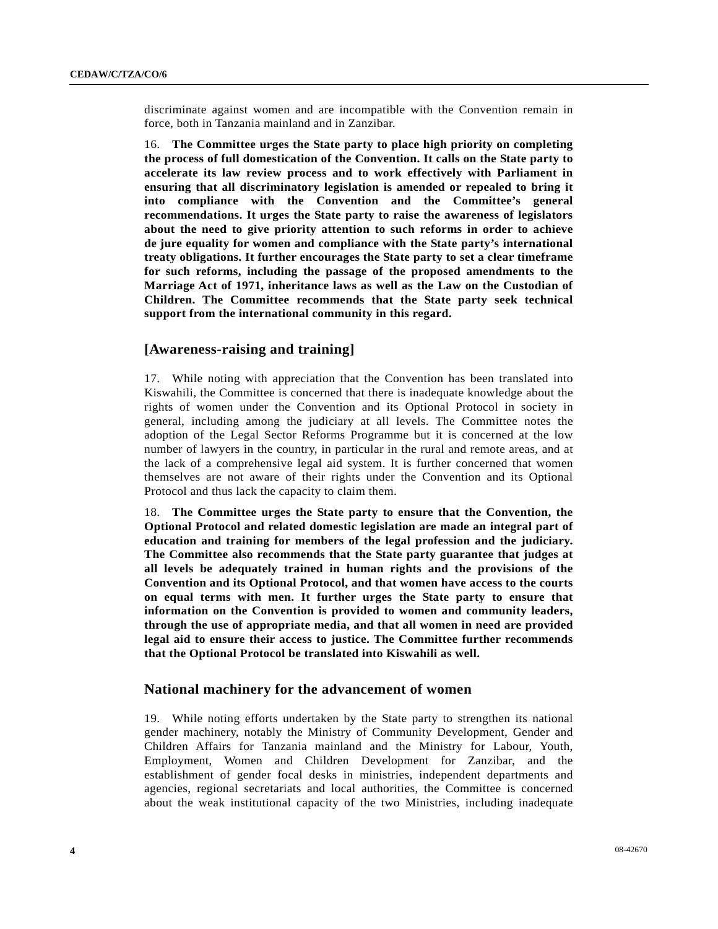discriminate against women and are incompatible with the Convention remain in force, both in Tanzania mainland and in Zanzibar.

16. **The Committee urges the State party to place high priority on completing the process of full domestication of the Convention. It calls on the State party to accelerate its law review process and to work effectively with Parliament in ensuring that all discriminatory legislation is amended or repealed to bring it into compliance with the Convention and the Committee's general recommendations. It urges the State party to raise the awareness of legislators about the need to give priority attention to such reforms in order to achieve de jure equality for women and compliance with the State party's international treaty obligations. It further encourages the State party to set a clear timeframe for such reforms, including the passage of the proposed amendments to the Marriage Act of 1971, inheritance laws as well as the Law on the Custodian of Children. The Committee recommends that the State party seek technical support from the international community in this regard.** 

### **[Awareness-raising and training]**

17. While noting with appreciation that the Convention has been translated into Kiswahili, the Committee is concerned that there is inadequate knowledge about the rights of women under the Convention and its Optional Protocol in society in general, including among the judiciary at all levels. The Committee notes the adoption of the Legal Sector Reforms Programme but it is concerned at the low number of lawyers in the country, in particular in the rural and remote areas, and at the lack of a comprehensive legal aid system. It is further concerned that women themselves are not aware of their rights under the Convention and its Optional Protocol and thus lack the capacity to claim them.

18. **The Committee urges the State party to ensure that the Convention, the Optional Protocol and related domestic legislation are made an integral part of education and training for members of the legal profession and the judiciary. The Committee also recommends that the State party guarantee that judges at all levels be adequately trained in human rights and the provisions of the Convention and its Optional Protocol, and that women have access to the courts on equal terms with men. It further urges the State party to ensure that information on the Convention is provided to women and community leaders, through the use of appropriate media, and that all women in need are provided legal aid to ensure their access to justice. The Committee further recommends that the Optional Protocol be translated into Kiswahili as well.**

### **National machinery for the advancement of women**

19. While noting efforts undertaken by the State party to strengthen its national gender machinery, notably the Ministry of Community Development, Gender and Children Affairs for Tanzania mainland and the Ministry for Labour, Youth, Employment, Women and Children Development for Zanzibar, and the establishment of gender focal desks in ministries, independent departments and agencies, regional secretariats and local authorities, the Committee is concerned about the weak institutional capacity of the two Ministries, including inadequate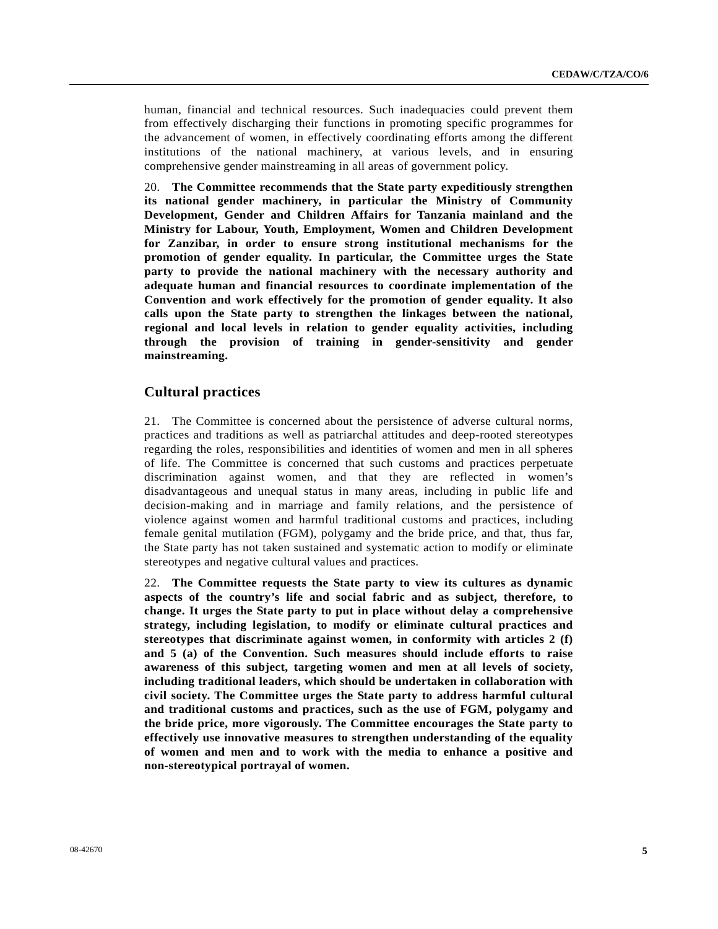human, financial and technical resources. Such inadequacies could prevent them from effectively discharging their functions in promoting specific programmes for the advancement of women, in effectively coordinating efforts among the different institutions of the national machinery, at various levels, and in ensuring comprehensive gender mainstreaming in all areas of government policy.

20. **The Committee recommends that the State party expeditiously strengthen its national gender machinery, in particular the Ministry of Community Development, Gender and Children Affairs for Tanzania mainland and the Ministry for Labour, Youth, Employment, Women and Children Development for Zanzibar, in order to ensure strong institutional mechanisms for the promotion of gender equality. In particular, the Committee urges the State party to provide the national machinery with the necessary authority and adequate human and financial resources to coordinate implementation of the Convention and work effectively for the promotion of gender equality. It also calls upon the State party to strengthen the linkages between the national, regional and local levels in relation to gender equality activities, including through the provision of training in gender-sensitivity and gender mainstreaming.**

### **Cultural practices**

21. The Committee is concerned about the persistence of adverse cultural norms, practices and traditions as well as patriarchal attitudes and deep-rooted stereotypes regarding the roles, responsibilities and identities of women and men in all spheres of life. The Committee is concerned that such customs and practices perpetuate discrimination against women, and that they are reflected in women's disadvantageous and unequal status in many areas, including in public life and decision-making and in marriage and family relations, and the persistence of violence against women and harmful traditional customs and practices, including female genital mutilation (FGM), polygamy and the bride price, and that, thus far, the State party has not taken sustained and systematic action to modify or eliminate stereotypes and negative cultural values and practices.

22. **The Committee requests the State party to view its cultures as dynamic aspects of the country's life and social fabric and as subject, therefore, to change. It urges the State party to put in place without delay a comprehensive strategy, including legislation, to modify or eliminate cultural practices and stereotypes that discriminate against women, in conformity with articles 2 (f) and 5 (a) of the Convention. Such measures should include efforts to raise awareness of this subject, targeting women and men at all levels of society, including traditional leaders, which should be undertaken in collaboration with civil society. The Committee urges the State party to address harmful cultural and traditional customs and practices, such as the use of FGM, polygamy and the bride price, more vigorously. The Committee encourages the State party to effectively use innovative measures to strengthen understanding of the equality of women and men and to work with the media to enhance a positive and non-stereotypical portrayal of women.**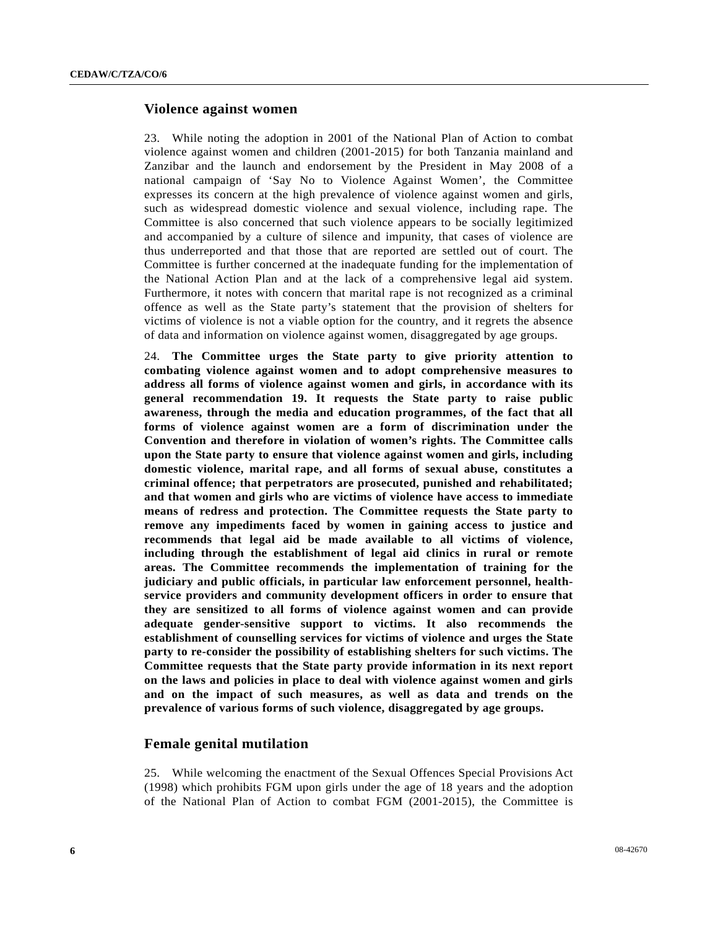#### **Violence against women**

23. While noting the adoption in 2001 of the National Plan of Action to combat violence against women and children (2001-2015) for both Tanzania mainland and Zanzibar and the launch and endorsement by the President in May 2008 of a national campaign of 'Say No to Violence Against Women', the Committee expresses its concern at the high prevalence of violence against women and girls, such as widespread domestic violence and sexual violence, including rape. The Committee is also concerned that such violence appears to be socially legitimized and accompanied by a culture of silence and impunity, that cases of violence are thus underreported and that those that are reported are settled out of court. The Committee is further concerned at the inadequate funding for the implementation of the National Action Plan and at the lack of a comprehensive legal aid system. Furthermore, it notes with concern that marital rape is not recognized as a criminal offence as well as the State party's statement that the provision of shelters for victims of violence is not a viable option for the country, and it regrets the absence of data and information on violence against women, disaggregated by age groups.

24. **The Committee urges the State party to give priority attention to combating violence against women and to adopt comprehensive measures to address all forms of violence against women and girls, in accordance with its general recommendation 19. It requests the State party to raise public awareness, through the media and education programmes, of the fact that all forms of violence against women are a form of discrimination under the Convention and therefore in violation of women's rights. The Committee calls upon the State party to ensure that violence against women and girls, including domestic violence, marital rape, and all forms of sexual abuse, constitutes a criminal offence; that perpetrators are prosecuted, punished and rehabilitated; and that women and girls who are victims of violence have access to immediate means of redress and protection. The Committee requests the State party to remove any impediments faced by women in gaining access to justice and recommends that legal aid be made available to all victims of violence, including through the establishment of legal aid clinics in rural or remote areas. The Committee recommends the implementation of training for the judiciary and public officials, in particular law enforcement personnel, healthservice providers and community development officers in order to ensure that they are sensitized to all forms of violence against women and can provide adequate gender-sensitive support to victims. It also recommends the establishment of counselling services for victims of violence and urges the State party to re-consider the possibility of establishing shelters for such victims. The Committee requests that the State party provide information in its next report on the laws and policies in place to deal with violence against women and girls and on the impact of such measures, as well as data and trends on the prevalence of various forms of such violence, disaggregated by age groups.** 

### **Female genital mutilation**

25. While welcoming the enactment of the Sexual Offences Special Provisions Act (1998) which prohibits FGM upon girls under the age of 18 years and the adoption of the National Plan of Action to combat FGM (2001-2015), the Committee is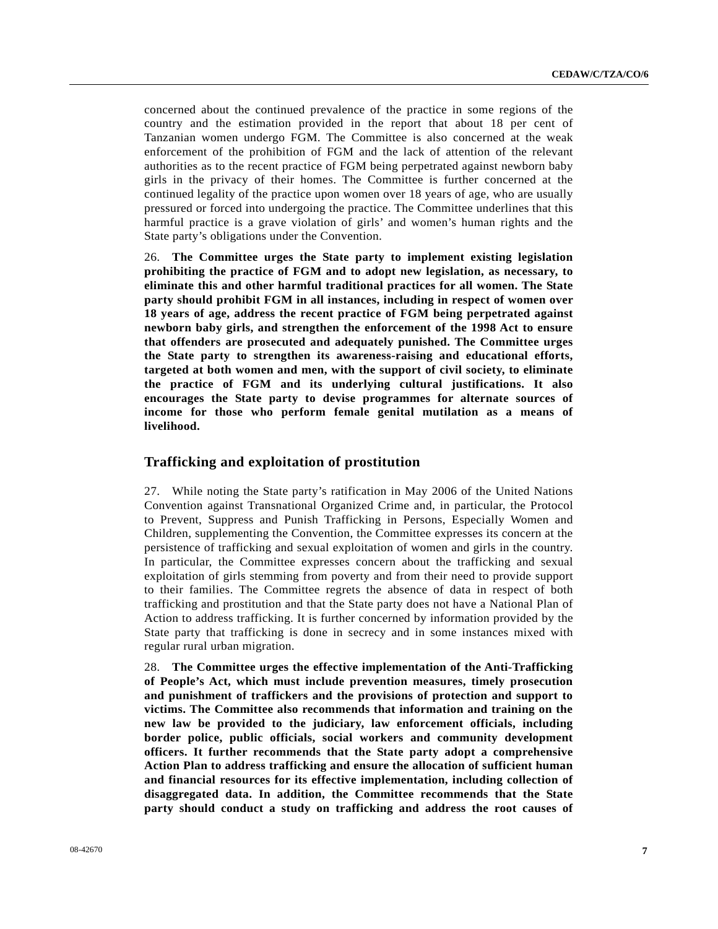concerned about the continued prevalence of the practice in some regions of the country and the estimation provided in the report that about 18 per cent of Tanzanian women undergo FGM. The Committee is also concerned at the weak enforcement of the prohibition of FGM and the lack of attention of the relevant authorities as to the recent practice of FGM being perpetrated against newborn baby girls in the privacy of their homes. The Committee is further concerned at the continued legality of the practice upon women over 18 years of age, who are usually pressured or forced into undergoing the practice. The Committee underlines that this harmful practice is a grave violation of girls' and women's human rights and the State party's obligations under the Convention.

26. **The Committee urges the State party to implement existing legislation prohibiting the practice of FGM and to adopt new legislation, as necessary, to eliminate this and other harmful traditional practices for all women. The State party should prohibit FGM in all instances, including in respect of women over 18 years of age, address the recent practice of FGM being perpetrated against newborn baby girls, and strengthen the enforcement of the 1998 Act to ensure that offenders are prosecuted and adequately punished. The Committee urges the State party to strengthen its awareness-raising and educational efforts, targeted at both women and men, with the support of civil society, to eliminate the practice of FGM and its underlying cultural justifications. It also encourages the State party to devise programmes for alternate sources of income for those who perform female genital mutilation as a means of livelihood.**

#### **Trafficking and exploitation of prostitution**

27. While noting the State party's ratification in May 2006 of the United Nations Convention against Transnational Organized Crime and, in particular, the Protocol to Prevent, Suppress and Punish Trafficking in Persons, Especially Women and Children, supplementing the Convention, the Committee expresses its concern at the persistence of trafficking and sexual exploitation of women and girls in the country. In particular, the Committee expresses concern about the trafficking and sexual exploitation of girls stemming from poverty and from their need to provide support to their families. The Committee regrets the absence of data in respect of both trafficking and prostitution and that the State party does not have a National Plan of Action to address trafficking. It is further concerned by information provided by the State party that trafficking is done in secrecy and in some instances mixed with regular rural urban migration.

28. **The Committee urges the effective implementation of the Anti-Trafficking of People's Act, which must include prevention measures, timely prosecution and punishment of traffickers and the provisions of protection and support to victims. The Committee also recommends that information and training on the new law be provided to the judiciary, law enforcement officials, including border police, public officials, social workers and community development officers. It further recommends that the State party adopt a comprehensive Action Plan to address trafficking and ensure the allocation of sufficient human and financial resources for its effective implementation, including collection of disaggregated data. In addition, the Committee recommends that the State party should conduct a study on trafficking and address the root causes of**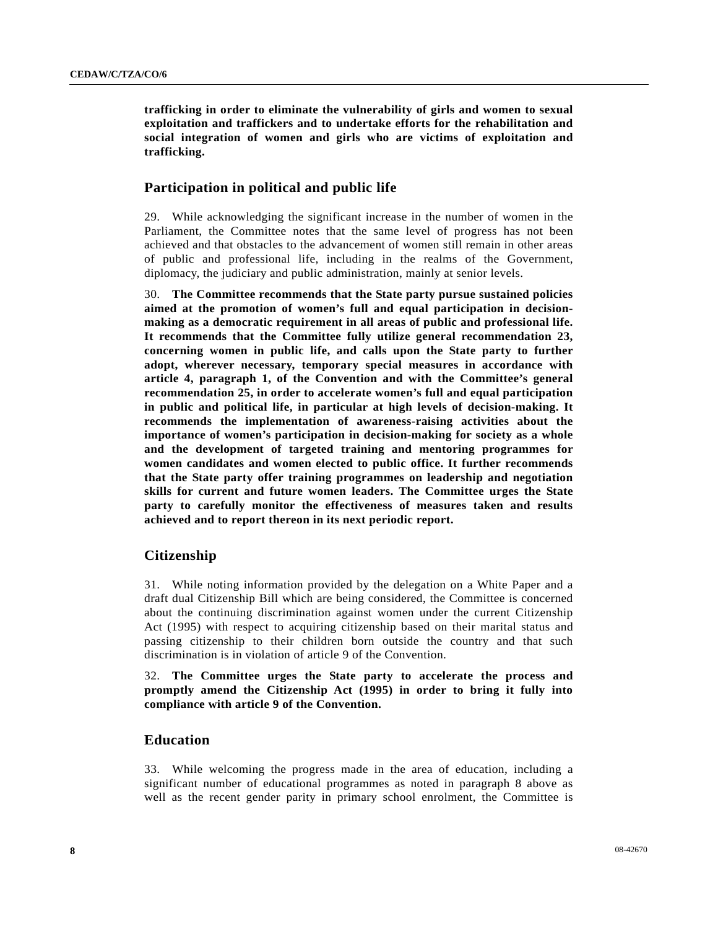**trafficking in order to eliminate the vulnerability of girls and women to sexual exploitation and traffickers and to undertake efforts for the rehabilitation and social integration of women and girls who are victims of exploitation and trafficking.**

# **Participation in political and public life**

29. While acknowledging the significant increase in the number of women in the Parliament, the Committee notes that the same level of progress has not been achieved and that obstacles to the advancement of women still remain in other areas of public and professional life, including in the realms of the Government, diplomacy, the judiciary and public administration, mainly at senior levels.

30. **The Committee recommends that the State party pursue sustained policies aimed at the promotion of women's full and equal participation in decisionmaking as a democratic requirement in all areas of public and professional life. It recommends that the Committee fully utilize general recommendation 23, concerning women in public life, and calls upon the State party to further adopt, wherever necessary, temporary special measures in accordance with article 4, paragraph 1, of the Convention and with the Committee's general recommendation 25, in order to accelerate women's full and equal participation in public and political life, in particular at high levels of decision-making. It recommends the implementation of awareness-raising activities about the importance of women's participation in decision-making for society as a whole and the development of targeted training and mentoring programmes for women candidates and women elected to public office. It further recommends that the State party offer training programmes on leadership and negotiation skills for current and future women leaders. The Committee urges the State party to carefully monitor the effectiveness of measures taken and results achieved and to report thereon in its next periodic report.**

# **Citizenship**

31. While noting information provided by the delegation on a White Paper and a draft dual Citizenship Bill which are being considered, the Committee is concerned about the continuing discrimination against women under the current Citizenship Act (1995) with respect to acquiring citizenship based on their marital status and passing citizenship to their children born outside the country and that such discrimination is in violation of article 9 of the Convention.

32. **The Committee urges the State party to accelerate the process and promptly amend the Citizenship Act (1995) in order to bring it fully into compliance with article 9 of the Convention.**

### **Education**

33. While welcoming the progress made in the area of education, including a significant number of educational programmes as noted in paragraph 8 above as well as the recent gender parity in primary school enrolment, the Committee is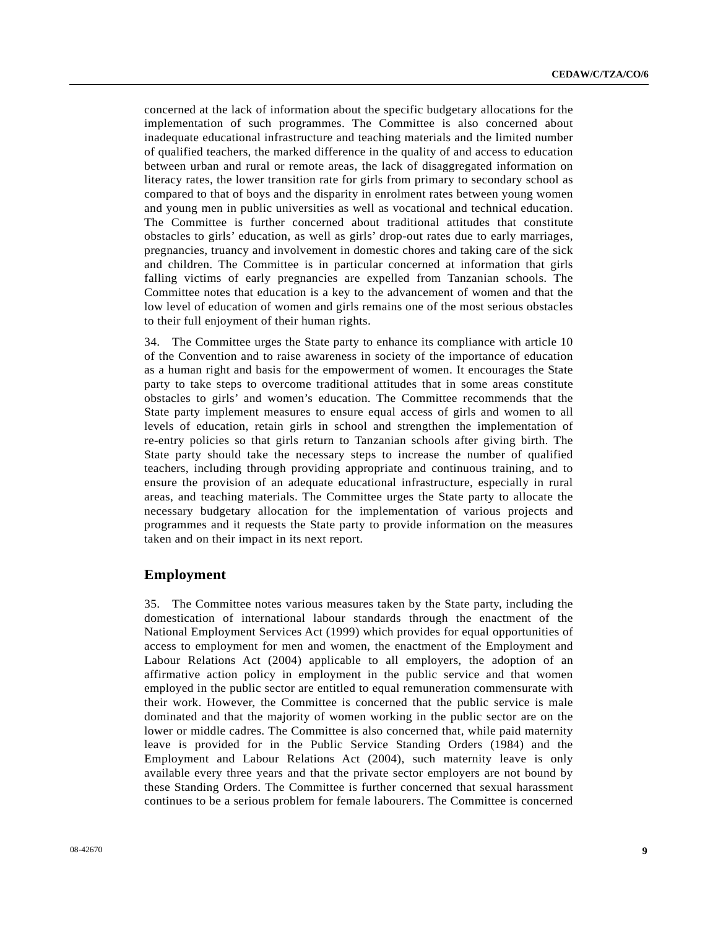concerned at the lack of information about the specific budgetary allocations for the implementation of such programmes. The Committee is also concerned about inadequate educational infrastructure and teaching materials and the limited number of qualified teachers, the marked difference in the quality of and access to education between urban and rural or remote areas, the lack of disaggregated information on literacy rates, the lower transition rate for girls from primary to secondary school as compared to that of boys and the disparity in enrolment rates between young women and young men in public universities as well as vocational and technical education. The Committee is further concerned about traditional attitudes that constitute obstacles to girls' education, as well as girls' drop-out rates due to early marriages, pregnancies, truancy and involvement in domestic chores and taking care of the sick and children. The Committee is in particular concerned at information that girls falling victims of early pregnancies are expelled from Tanzanian schools. The Committee notes that education is a key to the advancement of women and that the low level of education of women and girls remains one of the most serious obstacles to their full enjoyment of their human rights.

34. The Committee urges the State party to enhance its compliance with article 10 of the Convention and to raise awareness in society of the importance of education as a human right and basis for the empowerment of women. It encourages the State party to take steps to overcome traditional attitudes that in some areas constitute obstacles to girls' and women's education. The Committee recommends that the State party implement measures to ensure equal access of girls and women to all levels of education, retain girls in school and strengthen the implementation of re-entry policies so that girls return to Tanzanian schools after giving birth. The State party should take the necessary steps to increase the number of qualified teachers, including through providing appropriate and continuous training, and to ensure the provision of an adequate educational infrastructure, especially in rural areas, and teaching materials. The Committee urges the State party to allocate the necessary budgetary allocation for the implementation of various projects and programmes and it requests the State party to provide information on the measures taken and on their impact in its next report.

### **Employment**

35. The Committee notes various measures taken by the State party, including the domestication of international labour standards through the enactment of the National Employment Services Act (1999) which provides for equal opportunities of access to employment for men and women, the enactment of the Employment and Labour Relations Act (2004) applicable to all employers, the adoption of an affirmative action policy in employment in the public service and that women employed in the public sector are entitled to equal remuneration commensurate with their work. However, the Committee is concerned that the public service is male dominated and that the majority of women working in the public sector are on the lower or middle cadres. The Committee is also concerned that, while paid maternity leave is provided for in the Public Service Standing Orders (1984) and the Employment and Labour Relations Act (2004), such maternity leave is only available every three years and that the private sector employers are not bound by these Standing Orders. The Committee is further concerned that sexual harassment continues to be a serious problem for female labourers. The Committee is concerned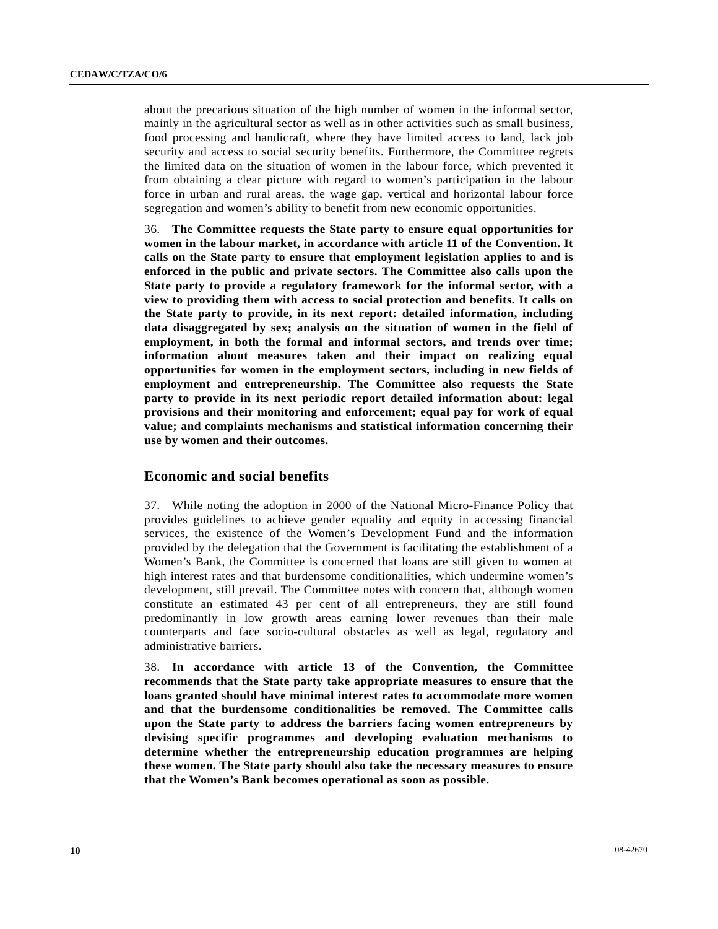about the precarious situation of the high number of women in the informal sector, mainly in the agricultural sector as well as in other activities such as small business, food processing and handicraft, where they have limited access to land, lack job security and access to social security benefits. Furthermore, the Committee regrets the limited data on the situation of women in the labour force, which prevented it from obtaining a clear picture with regard to women's participation in the labour force in urban and rural areas, the wage gap, vertical and horizontal labour force segregation and women's ability to benefit from new economic opportunities.

36. **The Committee requests the State party to ensure equal opportunities for women in the labour market, in accordance with article 11 of the Convention. It calls on the State party to ensure that employment legislation applies to and is enforced in the public and private sectors. The Committee also calls upon the State party to provide a regulatory framework for the informal sector, with a view to providing them with access to social protection and benefits. It calls on the State party to provide, in its next report: detailed information, including data disaggregated by sex; analysis on the situation of women in the field of employment, in both the formal and informal sectors, and trends over time; information about measures taken and their impact on realizing equal opportunities for women in the employment sectors, including in new fields of employment and entrepreneurship. The Committee also requests the State party to provide in its next periodic report detailed information about: legal provisions and their monitoring and enforcement; equal pay for work of equal value; and complaints mechanisms and statistical information concerning their use by women and their outcomes.**

### **Economic and social benefits**

37. While noting the adoption in 2000 of the National Micro-Finance Policy that provides guidelines to achieve gender equality and equity in accessing financial services, the existence of the Women's Development Fund and the information provided by the delegation that the Government is facilitating the establishment of a Women's Bank, the Committee is concerned that loans are still given to women at high interest rates and that burdensome conditionalities, which undermine women's development, still prevail. The Committee notes with concern that, although women constitute an estimated 43 per cent of all entrepreneurs, they are still found predominantly in low growth areas earning lower revenues than their male counterparts and face socio-cultural obstacles as well as legal, regulatory and administrative barriers.

38. **In accordance with article 13 of the Convention, the Committee recommends that the State party take appropriate measures to ensure that the loans granted should have minimal interest rates to accommodate more women and that the burdensome conditionalities be removed. The Committee calls upon the State party to address the barriers facing women entrepreneurs by devising specific programmes and developing evaluation mechanisms to determine whether the entrepreneurship education programmes are helping these women. The State party should also take the necessary measures to ensure that the Women's Bank becomes operational as soon as possible.**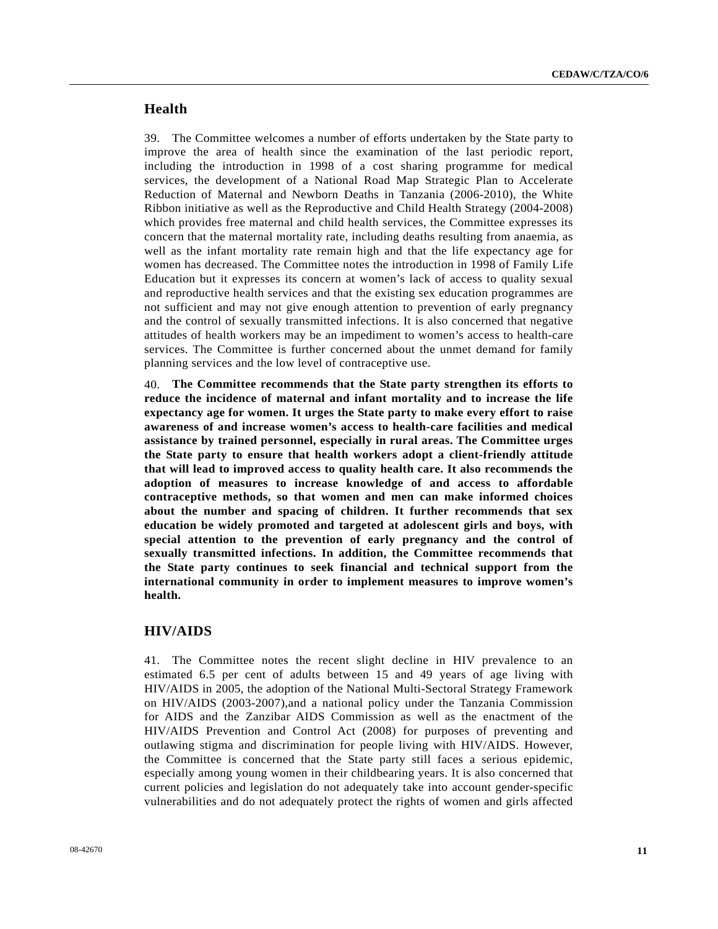## **Health**

39. The Committee welcomes a number of efforts undertaken by the State party to improve the area of health since the examination of the last periodic report, including the introduction in 1998 of a cost sharing programme for medical services, the development of a National Road Map Strategic Plan to Accelerate Reduction of Maternal and Newborn Deaths in Tanzania (2006-2010), the White Ribbon initiative as well as the Reproductive and Child Health Strategy (2004-2008) which provides free maternal and child health services, the Committee expresses its concern that the maternal mortality rate, including deaths resulting from anaemia, as well as the infant mortality rate remain high and that the life expectancy age for women has decreased. The Committee notes the introduction in 1998 of Family Life Education but it expresses its concern at women's lack of access to quality sexual and reproductive health services and that the existing sex education programmes are not sufficient and may not give enough attention to prevention of early pregnancy and the control of sexually transmitted infections. It is also concerned that negative attitudes of health workers may be an impediment to women's access to health-care services. The Committee is further concerned about the unmet demand for family planning services and the low level of contraceptive use.

40. **The Committee recommends that the State party strengthen its efforts to reduce the incidence of maternal and infant mortality and to increase the life expectancy age for women. It urges the State party to make every effort to raise awareness of and increase women's access to health-care facilities and medical assistance by trained personnel, especially in rural areas. The Committee urges the State party to ensure that health workers adopt a client-friendly attitude that will lead to improved access to quality health care. It also recommends the adoption of measures to increase knowledge of and access to affordable contraceptive methods, so that women and men can make informed choices about the number and spacing of children. It further recommends that sex education be widely promoted and targeted at adolescent girls and boys, with special attention to the prevention of early pregnancy and the control of sexually transmitted infections. In addition, the Committee recommends that the State party continues to seek financial and technical support from the international community in order to implement measures to improve women's health.**

#### **HIV/AIDS**

41. The Committee notes the recent slight decline in HIV prevalence to an estimated 6.5 per cent of adults between 15 and 49 years of age living with HIV/AIDS in 2005, the adoption of the National Multi-Sectoral Strategy Framework on HIV/AIDS (2003-2007),and a national policy under the Tanzania Commission for AIDS and the Zanzibar AIDS Commission as well as the enactment of the HIV/AIDS Prevention and Control Act (2008) for purposes of preventing and outlawing stigma and discrimination for people living with HIV/AIDS. However, the Committee is concerned that the State party still faces a serious epidemic, especially among young women in their childbearing years. It is also concerned that current policies and legislation do not adequately take into account gender-specific vulnerabilities and do not adequately protect the rights of women and girls affected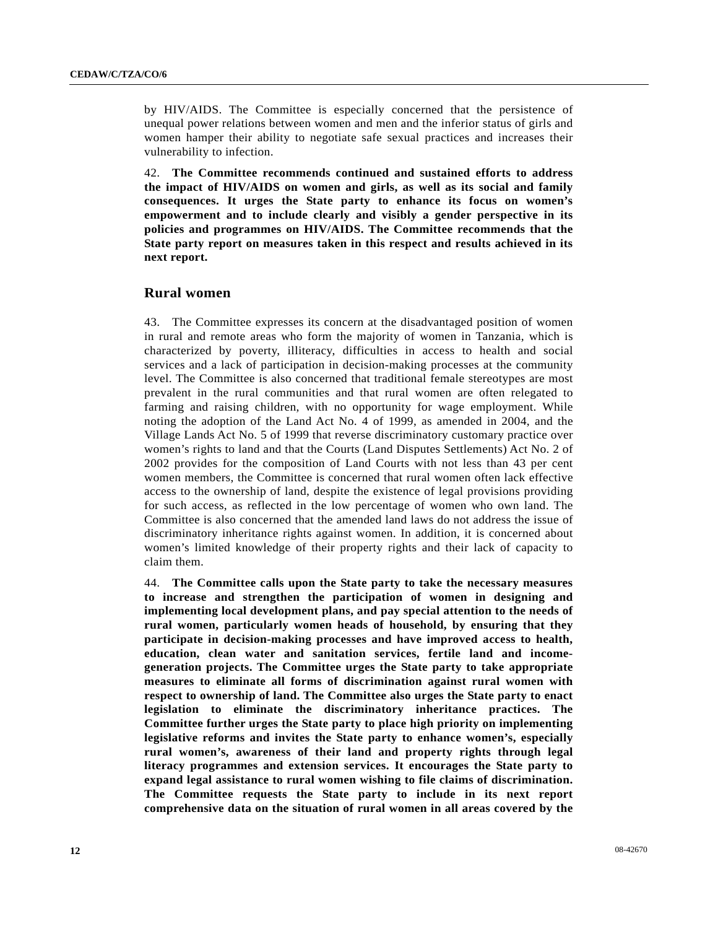by HIV/AIDS. The Committee is especially concerned that the persistence of unequal power relations between women and men and the inferior status of girls and women hamper their ability to negotiate safe sexual practices and increases their vulnerability to infection.

42. **The Committee recommends continued and sustained efforts to address the impact of HIV/AIDS on women and girls, as well as its social and family consequences. It urges the State party to enhance its focus on women's empowerment and to include clearly and visibly a gender perspective in its policies and programmes on HIV/AIDS. The Committee recommends that the State party report on measures taken in this respect and results achieved in its next report.** 

### **Rural women**

43. The Committee expresses its concern at the disadvantaged position of women in rural and remote areas who form the majority of women in Tanzania, which is characterized by poverty, illiteracy, difficulties in access to health and social services and a lack of participation in decision-making processes at the community level. The Committee is also concerned that traditional female stereotypes are most prevalent in the rural communities and that rural women are often relegated to farming and raising children, with no opportunity for wage employment. While noting the adoption of the Land Act No. 4 of 1999, as amended in 2004, and the Village Lands Act No. 5 of 1999 that reverse discriminatory customary practice over women's rights to land and that the Courts (Land Disputes Settlements) Act No. 2 of 2002 provides for the composition of Land Courts with not less than 43 per cent women members, the Committee is concerned that rural women often lack effective access to the ownership of land, despite the existence of legal provisions providing for such access, as reflected in the low percentage of women who own land. The Committee is also concerned that the amended land laws do not address the issue of discriminatory inheritance rights against women. In addition, it is concerned about women's limited knowledge of their property rights and their lack of capacity to claim them.

44. **The Committee calls upon the State party to take the necessary measures to increase and strengthen the participation of women in designing and implementing local development plans, and pay special attention to the needs of rural women, particularly women heads of household, by ensuring that they participate in decision-making processes and have improved access to health, education, clean water and sanitation services, fertile land and incomegeneration projects. The Committee urges the State party to take appropriate measures to eliminate all forms of discrimination against rural women with respect to ownership of land. The Committee also urges the State party to enact legislation to eliminate the discriminatory inheritance practices. The Committee further urges the State party to place high priority on implementing legislative reforms and invites the State party to enhance women's, especially rural women's, awareness of their land and property rights through legal literacy programmes and extension services. It encourages the State party to expand legal assistance to rural women wishing to file claims of discrimination. The Committee requests the State party to include in its next report comprehensive data on the situation of rural women in all areas covered by the**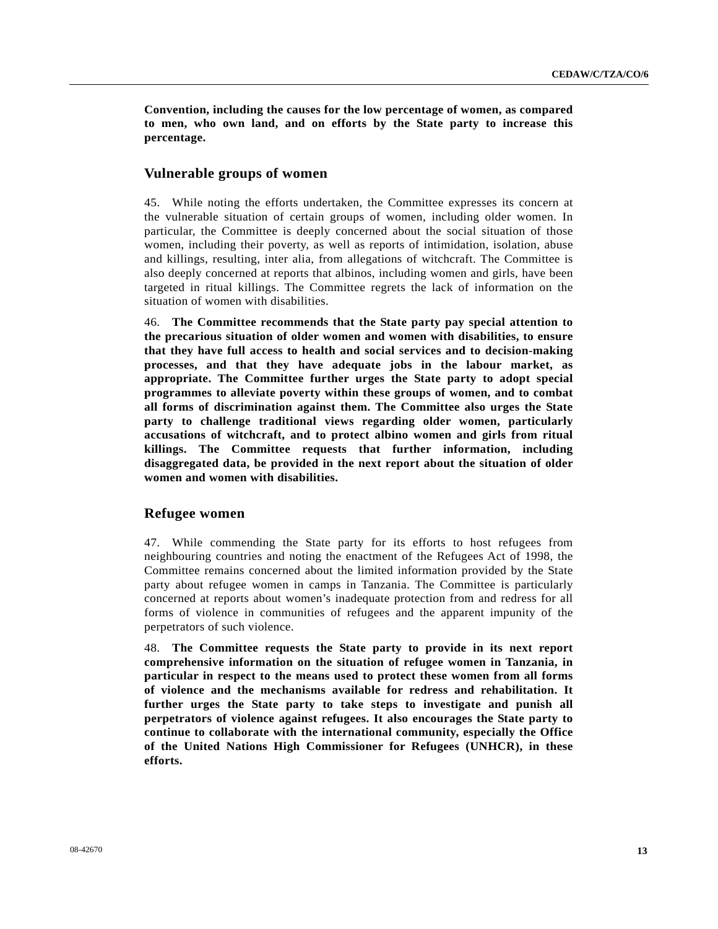**Convention, including the causes for the low percentage of women, as compared to men, who own land, and on efforts by the State party to increase this percentage.** 

### **Vulnerable groups of women**

45. While noting the efforts undertaken, the Committee expresses its concern at the vulnerable situation of certain groups of women, including older women. In particular, the Committee is deeply concerned about the social situation of those women, including their poverty, as well as reports of intimidation, isolation, abuse and killings, resulting, inter alia, from allegations of witchcraft. The Committee is also deeply concerned at reports that albinos, including women and girls, have been targeted in ritual killings. The Committee regrets the lack of information on the situation of women with disabilities.

46. **The Committee recommends that the State party pay special attention to the precarious situation of older women and women with disabilities, to ensure that they have full access to health and social services and to decision-making processes, and that they have adequate jobs in the labour market, as appropriate. The Committee further urges the State party to adopt special programmes to alleviate poverty within these groups of women, and to combat all forms of discrimination against them. The Committee also urges the State party to challenge traditional views regarding older women, particularly accusations of witchcraft, and to protect albino women and girls from ritual killings. The Committee requests that further information, including disaggregated data, be provided in the next report about the situation of older women and women with disabilities.**

#### **Refugee women**

47. While commending the State party for its efforts to host refugees from neighbouring countries and noting the enactment of the Refugees Act of 1998, the Committee remains concerned about the limited information provided by the State party about refugee women in camps in Tanzania. The Committee is particularly concerned at reports about women's inadequate protection from and redress for all forms of violence in communities of refugees and the apparent impunity of the perpetrators of such violence.

48. **The Committee requests the State party to provide in its next report comprehensive information on the situation of refugee women in Tanzania, in particular in respect to the means used to protect these women from all forms of violence and the mechanisms available for redress and rehabilitation. It further urges the State party to take steps to investigate and punish all perpetrators of violence against refugees. It also encourages the State party to continue to collaborate with the international community, especially the Office of the United Nations High Commissioner for Refugees (UNHCR), in these efforts.**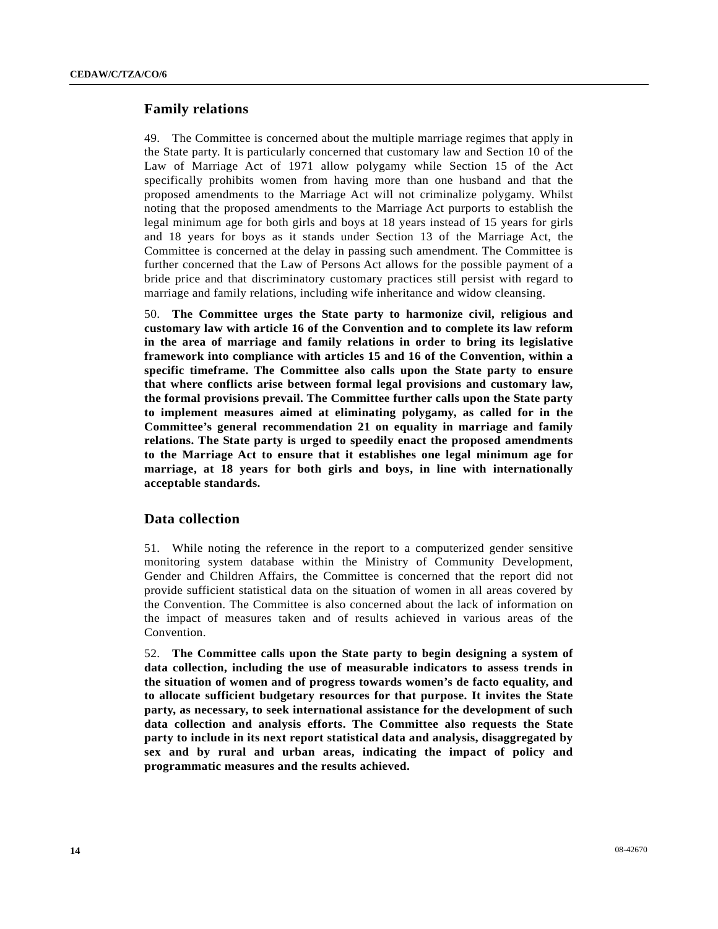### **Family relations**

49. The Committee is concerned about the multiple marriage regimes that apply in the State party. It is particularly concerned that customary law and Section 10 of the Law of Marriage Act of 1971 allow polygamy while Section 15 of the Act specifically prohibits women from having more than one husband and that the proposed amendments to the Marriage Act will not criminalize polygamy. Whilst noting that the proposed amendments to the Marriage Act purports to establish the legal minimum age for both girls and boys at 18 years instead of 15 years for girls and 18 years for boys as it stands under Section 13 of the Marriage Act, the Committee is concerned at the delay in passing such amendment. The Committee is further concerned that the Law of Persons Act allows for the possible payment of a bride price and that discriminatory customary practices still persist with regard to marriage and family relations, including wife inheritance and widow cleansing.

50. **The Committee urges the State party to harmonize civil, religious and customary law with article 16 of the Convention and to complete its law reform in the area of marriage and family relations in order to bring its legislative framework into compliance with articles 15 and 16 of the Convention, within a specific timeframe. The Committee also calls upon the State party to ensure that where conflicts arise between formal legal provisions and customary law, the formal provisions prevail. The Committee further calls upon the State party to implement measures aimed at eliminating polygamy, as called for in the Committee's general recommendation 21 on equality in marriage and family relations. The State party is urged to speedily enact the proposed amendments to the Marriage Act to ensure that it establishes one legal minimum age for marriage, at 18 years for both girls and boys, in line with internationally acceptable standards.** 

### **Data collection**

51. While noting the reference in the report to a computerized gender sensitive monitoring system database within the Ministry of Community Development, Gender and Children Affairs, the Committee is concerned that the report did not provide sufficient statistical data on the situation of women in all areas covered by the Convention. The Committee is also concerned about the lack of information on the impact of measures taken and of results achieved in various areas of the Convention.

52. **The Committee calls upon the State party to begin designing a system of data collection, including the use of measurable indicators to assess trends in the situation of women and of progress towards women's de facto equality, and to allocate sufficient budgetary resources for that purpose. It invites the State party, as necessary, to seek international assistance for the development of such data collection and analysis efforts. The Committee also requests the State party to include in its next report statistical data and analysis, disaggregated by sex and by rural and urban areas, indicating the impact of policy and programmatic measures and the results achieved.**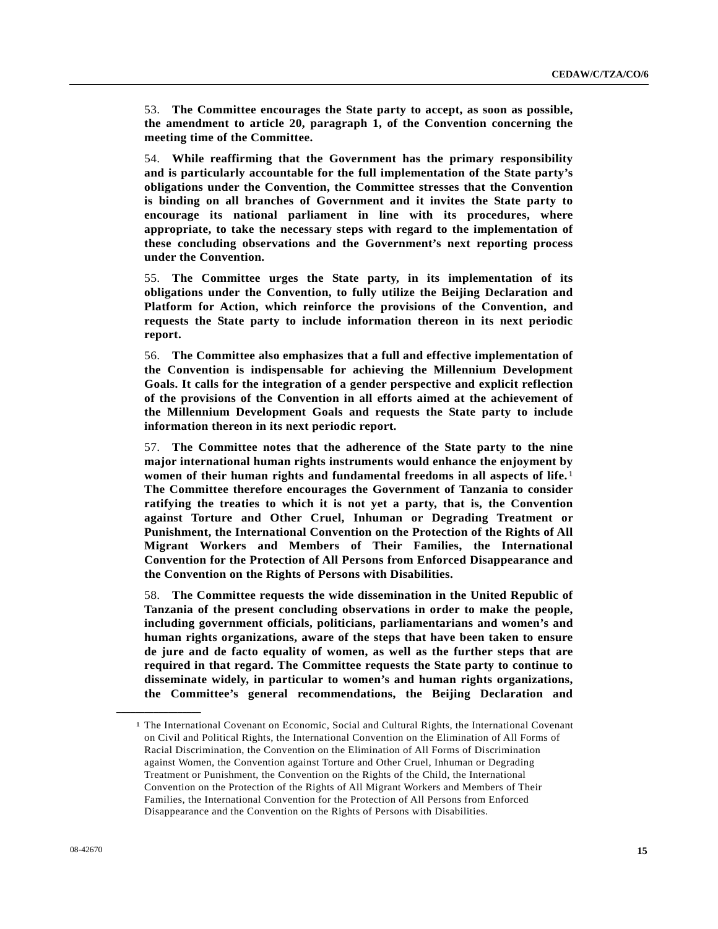53. **The Committee encourages the State party to accept, as soon as possible, the amendment to article 20, paragraph 1, of the Convention concerning the meeting time of the Committee.**

54. **While reaffirming that the Government has the primary responsibility and is particularly accountable for the full implementation of the State party's obligations under the Convention, the Committee stresses that the Convention is binding on all branches of Government and it invites the State party to encourage its national parliament in line with its procedures, where appropriate, to take the necessary steps with regard to the implementation of these concluding observations and the Government's next reporting process under the Convention.**

55. **The Committee urges the State party, in its implementation of its obligations under the Convention, to fully utilize the Beijing Declaration and Platform for Action, which reinforce the provisions of the Convention, and requests the State party to include information thereon in its next periodic report.**

56. **The Committee also emphasizes that a full and effective implementation of the Convention is indispensable for achieving the Millennium Development Goals. It calls for the integration of a gender perspective and explicit reflection of the provisions of the Convention in all efforts aimed at the achievement of the Millennium Development Goals and requests the State party to include information thereon in its next periodic report.**

57. **The Committee notes that the adherence of the State party to the nine major international human rights instruments would enhance the enjoyment by women of their human rights and fundamental freedoms in all aspects of life.**[1](#page-14-0) **The Committee therefore encourages the Government of Tanzania to consider ratifying the treaties to which it is not yet a party, that is, the Convention against Torture and Other Cruel, Inhuman or Degrading Treatment or Punishment, the International Convention on the Protection of the Rights of All Migrant Workers and Members of Their Families, the International Convention for the Protection of All Persons from Enforced Disappearance and the Convention on the Rights of Persons with Disabilities.**

58. **The Committee requests the wide dissemination in the United Republic of Tanzania of the present concluding observations in order to make the people, including government officials, politicians, parliamentarians and women's and human rights organizations, aware of the steps that have been taken to ensure de jure and de facto equality of women, as well as the further steps that are required in that regard. The Committee requests the State party to continue to disseminate widely, in particular to women's and human rights organizations, the Committee's general recommendations, the Beijing Declaration and** 

<span id="page-14-0"></span>**\_\_\_\_\_\_\_\_\_\_\_\_\_\_\_\_\_\_** 

<sup>1</sup> The International Covenant on Economic, Social and Cultural Rights, the International Covenant on Civil and Political Rights, the International Convention on the Elimination of All Forms of Racial Discrimination, the Convention on the Elimination of All Forms of Discrimination against Women, the Convention against Torture and Other Cruel, Inhuman or Degrading Treatment or Punishment, the Convention on the Rights of the Child, the International Convention on the Protection of the Rights of All Migrant Workers and Members of Their Families, the International Convention for the Protection of All Persons from Enforced Disappearance and the Convention on the Rights of Persons with Disabilities.